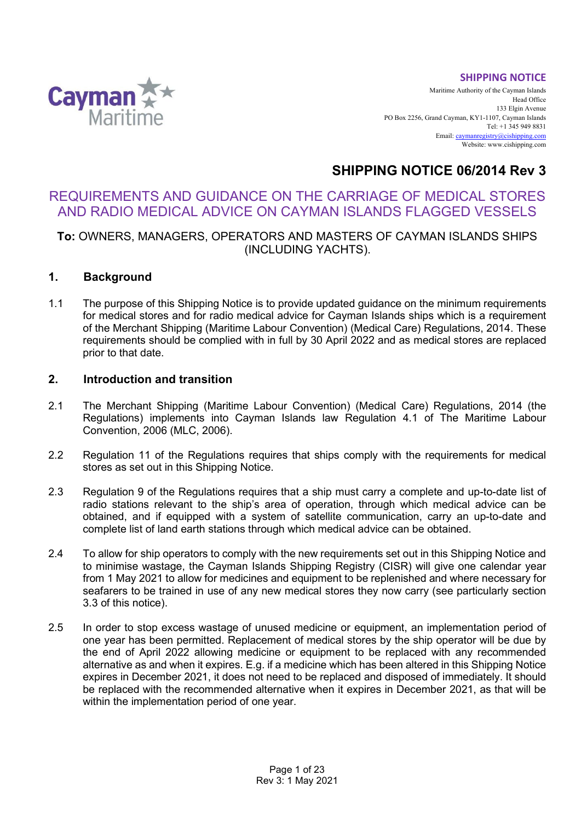#### **SHIPPING NOTICE**



Maritime Authority of the Cayman Islands Head Office 133 Elgin Avenue PO Box 2256, Grand Cayman, KY1-1107, Cayman Islands Tel: +1 345 949 8831 Email[: caymanregistry@cishipping.com](mailto:caymanregistry@cishipping.com) Website: www.cishipping.com

# **SHIPPING NOTICE 06/2014 Rev 3**

# REQUIREMENTS AND GUIDANCE ON THE CARRIAGE OF MEDICAL STORES AND RADIO MEDICAL ADVICE ON CAYMAN ISLANDS FLAGGED VESSELS

# **To:** OWNERS, MANAGERS, OPERATORS AND MASTERS OF CAYMAN ISLANDS SHIPS (INCLUDING YACHTS).

# **1. Background**

1.1 The purpose of this Shipping Notice is to provide updated guidance on the minimum requirements for medical stores and for radio medical advice for Cayman Islands ships which is a requirement of the Merchant Shipping (Maritime Labour Convention) (Medical Care) Regulations, 2014. These requirements should be complied with in full by 30 April 2022 and as medical stores are replaced prior to that date.

# **2. Introduction and transition**

- 2.1 The Merchant Shipping (Maritime Labour Convention) (Medical Care) Regulations, 2014 (the Regulations) implements into Cayman Islands law Regulation 4.1 of The Maritime Labour Convention, 2006 (MLC, 2006).
- 2.2 Regulation 11 of the Regulations requires that ships comply with the requirements for medical stores as set out in this Shipping Notice.
- 2.3 Regulation 9 of the Regulations requires that a ship must carry a complete and up-to-date list of radio stations relevant to the ship's area of operation, through which medical advice can be obtained, and if equipped with a system of satellite communication, carry an up-to-date and complete list of land earth stations through which medical advice can be obtained.
- 2.4 To allow for ship operators to comply with the new requirements set out in this Shipping Notice and to minimise wastage, the Cayman Islands Shipping Registry (CISR) will give one calendar year from 1 May 2021 to allow for medicines and equipment to be replenished and where necessary for seafarers to be trained in use of any new medical stores they now carry (see particularly section 3.3 of this notice).
- 2.5 In order to stop excess wastage of unused medicine or equipment, an implementation period of one year has been permitted. Replacement of medical stores by the ship operator will be due by the end of April 2022 allowing medicine or equipment to be replaced with any recommended alternative as and when it expires. E.g. if a medicine which has been altered in this Shipping Notice expires in December 2021, it does not need to be replaced and disposed of immediately. It should be replaced with the recommended alternative when it expires in December 2021, as that will be within the implementation period of one year.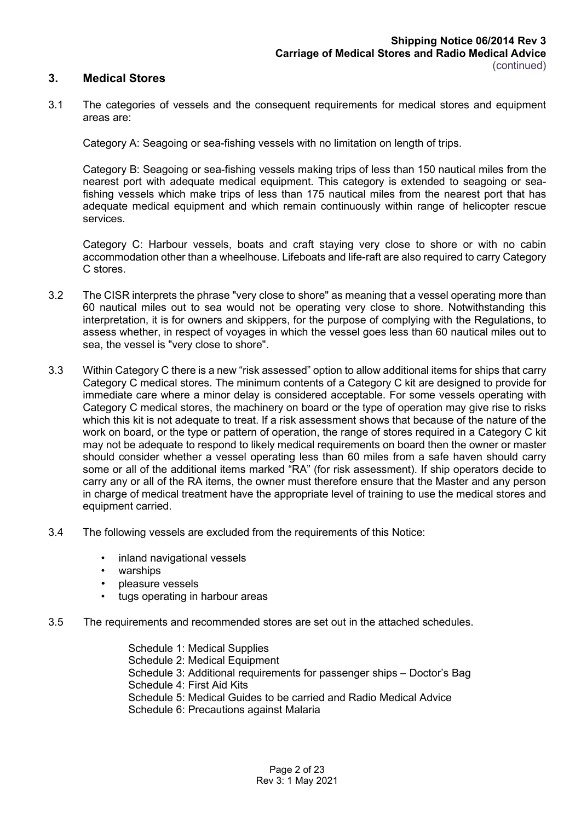#### **3. Medical Stores**

3.1 The categories of vessels and the consequent requirements for medical stores and equipment areas are:

Category A: Seagoing or sea-fishing vessels with no limitation on length of trips.

Category B: Seagoing or sea-fishing vessels making trips of less than 150 nautical miles from the nearest port with adequate medical equipment. This category is extended to seagoing or seafishing vessels which make trips of less than 175 nautical miles from the nearest port that has adequate medical equipment and which remain continuously within range of helicopter rescue services.

Category C: Harbour vessels, boats and craft staying very close to shore or with no cabin accommodation other than a wheelhouse. Lifeboats and life-raft are also required to carry Category C stores.

- 3.2 The CISR interprets the phrase "very close to shore" as meaning that a vessel operating more than 60 nautical miles out to sea would not be operating very close to shore. Notwithstanding this interpretation, it is for owners and skippers, for the purpose of complying with the Regulations, to assess whether, in respect of voyages in which the vessel goes less than 60 nautical miles out to sea, the vessel is "very close to shore".
- 3.3 Within Category C there is a new "risk assessed" option to allow additional items for ships that carry Category C medical stores. The minimum contents of a Category C kit are designed to provide for immediate care where a minor delay is considered acceptable. For some vessels operating with Category C medical stores, the machinery on board or the type of operation may give rise to risks which this kit is not adequate to treat. If a risk assessment shows that because of the nature of the work on board, or the type or pattern of operation, the range of stores required in a Category C kit may not be adequate to respond to likely medical requirements on board then the owner or master should consider whether a vessel operating less than 60 miles from a safe haven should carry some or all of the additional items marked "RA" (for risk assessment). If ship operators decide to carry any or all of the RA items, the owner must therefore ensure that the Master and any person in charge of medical treatment have the appropriate level of training to use the medical stores and equipment carried.
- 3.4 The following vessels are excluded from the requirements of this Notice:
	- inland navigational vessels
	- warships
	- pleasure vessels
	- tugs operating in harbour areas

#### 3.5 The requirements and recommended stores are set out in the attached schedules.

Schedule 1: Medical Supplies Schedule 2: Medical Equipment Schedule 3: Additional requirements for passenger ships – Doctor's Bag Schedule 4: First Aid Kits Schedule 5: Medical Guides to be carried and Radio Medical Advice Schedule 6: Precautions against Malaria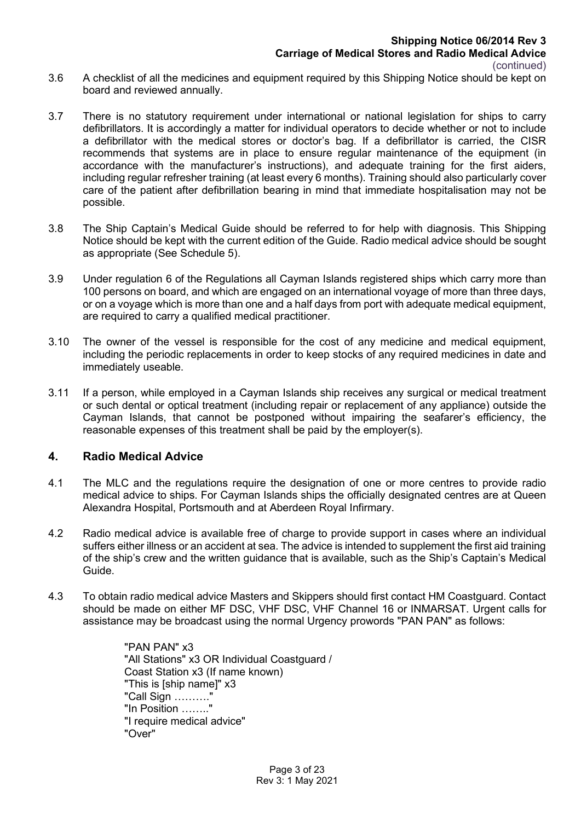- 3.6 A checklist of all the medicines and equipment required by this Shipping Notice should be kept on board and reviewed annually.
- 3.7 There is no statutory requirement under international or national legislation for ships to carry defibrillators. It is accordingly a matter for individual operators to decide whether or not to include a defibrillator with the medical stores or doctor's bag. If a defibrillator is carried, the CISR recommends that systems are in place to ensure regular maintenance of the equipment (in accordance with the manufacturer's instructions), and adequate training for the first aiders, including regular refresher training (at least every 6 months). Training should also particularly cover care of the patient after defibrillation bearing in mind that immediate hospitalisation may not be possible.
- 3.8 The Ship Captain's Medical Guide should be referred to for help with diagnosis. This Shipping Notice should be kept with the current edition of the Guide. Radio medical advice should be sought as appropriate (See Schedule 5).
- 3.9 Under regulation 6 of the Regulations all Cayman Islands registered ships which carry more than 100 persons on board, and which are engaged on an international voyage of more than three days, or on a voyage which is more than one and a half days from port with adequate medical equipment, are required to carry a qualified medical practitioner.
- 3.10 The owner of the vessel is responsible for the cost of any medicine and medical equipment, including the periodic replacements in order to keep stocks of any required medicines in date and immediately useable.
- 3.11 If a person, while employed in a Cayman Islands ship receives any surgical or medical treatment or such dental or optical treatment (including repair or replacement of any appliance) outside the Cayman Islands, that cannot be postponed without impairing the seafarer's efficiency, the reasonable expenses of this treatment shall be paid by the employer(s).

# **4. Radio Medical Advice**

- 4.1 The MLC and the regulations require the designation of one or more centres to provide radio medical advice to ships. For Cayman Islands ships the officially designated centres are at Queen Alexandra Hospital, Portsmouth and at Aberdeen Royal Infirmary.
- 4.2 Radio medical advice is available free of charge to provide support in cases where an individual suffers either illness or an accident at sea. The advice is intended to supplement the first aid training of the ship's crew and the written guidance that is available, such as the Ship's Captain's Medical Guide.
- 4.3 To obtain radio medical advice Masters and Skippers should first contact HM Coastguard. Contact should be made on either MF DSC, VHF DSC, VHF Channel 16 or INMARSAT. Urgent calls for assistance may be broadcast using the normal Urgency prowords "PAN PAN" as follows:

"PAN PAN" x3 "All Stations" x3 OR Individual Coastguard / Coast Station x3 (If name known) "This is [ship name]" x3 "Call Sign ………." "In Position …….." "I require medical advice" "Over"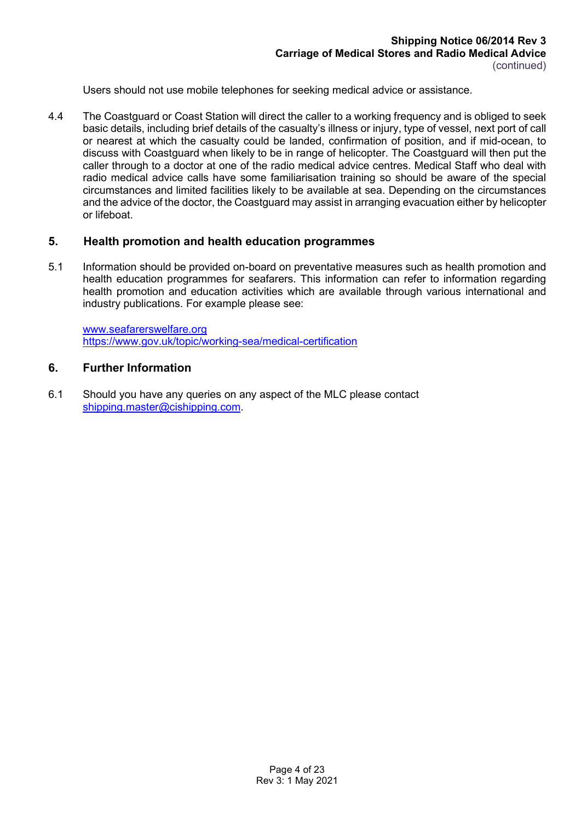Users should not use mobile telephones for seeking medical advice or assistance.

4.4 The Coastguard or Coast Station will direct the caller to a working frequency and is obliged to seek basic details, including brief details of the casualty's illness or injury, type of vessel, next port of call or nearest at which the casualty could be landed, confirmation of position, and if mid-ocean, to discuss with Coastguard when likely to be in range of helicopter. The Coastguard will then put the caller through to a doctor at one of the radio medical advice centres. Medical Staff who deal with radio medical advice calls have some familiarisation training so should be aware of the special circumstances and limited facilities likely to be available at sea. Depending on the circumstances and the advice of the doctor, the Coastguard may assist in arranging evacuation either by helicopter or lifeboat.

#### **5. Health promotion and health education programmes**

5.1 Information should be provided on-board on preventative measures such as health promotion and health education programmes for seafarers. This information can refer to information regarding health promotion and education activities which are available through various international and industry publications. For example please see:

[www.seafarerswelfare.org](http://www.seafarerswelfare.org/) <https://www.gov.uk/topic/working-sea/medical-certification>

### **6. Further Information**

6.1 Should you have any queries on any aspect of the MLC please contact [shipping.master@cishipping.com.](mailto:shipping.master@cishipping.com)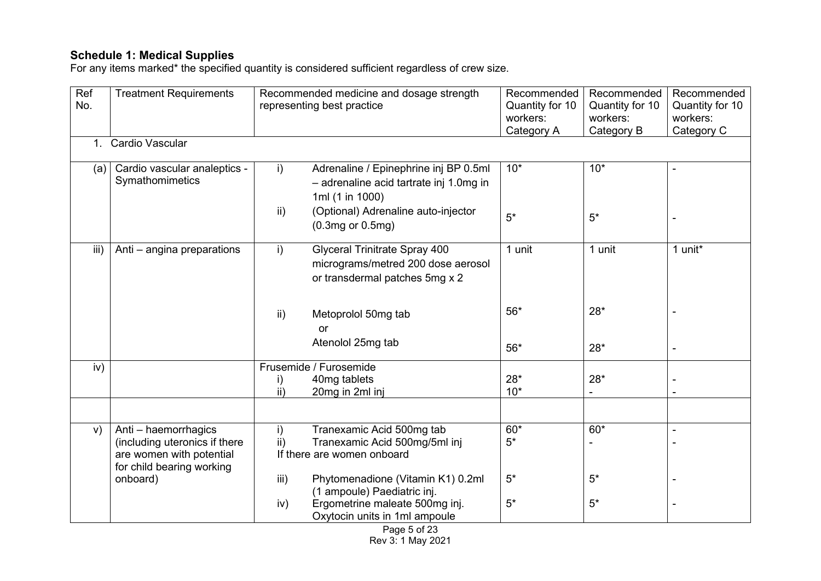# **Schedule 1: Medical Supplies**

For any items marked\* the specified quantity is considered sufficient regardless of crew size.

| Ref     | <b>Treatment Requirements</b>                   |                 | Recommended medicine and dosage strength                                         | Recommended | Recommended     | Recommended     |
|---------|-------------------------------------------------|-----------------|----------------------------------------------------------------------------------|-------------|-----------------|-----------------|
| No.     |                                                 |                 | representing best practice                                                       |             | Quantity for 10 | Quantity for 10 |
|         |                                                 |                 |                                                                                  | workers:    | workers:        | workers:        |
|         |                                                 |                 |                                                                                  | Category A  | Category B      | Category C      |
| $1_{-}$ | Cardio Vascular                                 |                 |                                                                                  |             |                 |                 |
|         |                                                 |                 |                                                                                  |             |                 |                 |
| (a)     | Cardio vascular analeptics -<br>Symathomimetics | $\mathsf{i}$    | Adrenaline / Epinephrine inj BP 0.5ml<br>- adrenaline acid tartrate inj 1.0mg in | $10*$       | $10*$           | $\blacksquare$  |
|         |                                                 |                 | 1ml (1 in 1000)                                                                  |             |                 |                 |
|         |                                                 | ii)             | (Optional) Adrenaline auto-injector<br>$(0.3mg$ or $0.5mg$ )                     | $5*$        | $5^*$           |                 |
| iii)    |                                                 |                 | Glyceral Trinitrate Spray 400                                                    | 1 unit      | 1 unit          | 1 unit*         |
|         | Anti - angina preparations                      | i)              |                                                                                  |             |                 |                 |
|         |                                                 |                 | micrograms/metred 200 dose aerosol                                               |             |                 |                 |
|         |                                                 |                 | or transdermal patches 5mg x 2                                                   |             |                 |                 |
|         |                                                 |                 |                                                                                  |             |                 |                 |
|         |                                                 | $\mathsf{ii}$   | Metoprolol 50mg tab                                                              | $56*$       | $28*$           |                 |
|         |                                                 |                 | or                                                                               |             |                 |                 |
|         |                                                 |                 | Atenolol 25mg tab                                                                |             |                 |                 |
|         |                                                 |                 |                                                                                  | $56*$       | $28*$           | $\blacksquare$  |
| iv)     |                                                 |                 | Frusemide / Furosemide                                                           |             |                 |                 |
|         |                                                 | i)              | 40mg tablets                                                                     | $28*$       | $28*$           |                 |
|         |                                                 | $\overline{ii}$ | 20mg in 2ml inj                                                                  | $10*$       | $\blacksquare$  |                 |
|         |                                                 |                 |                                                                                  |             |                 |                 |
| V)      | Anti - haemorrhagics                            | $\mathsf{i}$    | Tranexamic Acid 500mg tab                                                        | $60*$       | $60*$           | $\blacksquare$  |
|         | (including uteronics if there                   | $\mathsf{ii}$   | Tranexamic Acid 500mg/5ml inj                                                    | $5*$        |                 |                 |
|         | are women with potential                        |                 | If there are women onboard                                                       |             |                 |                 |
|         | for child bearing working                       |                 |                                                                                  |             |                 |                 |
|         | onboard)                                        | iii)            | Phytomenadione (Vitamin K1) 0.2ml                                                | $5*$        | $5*$            |                 |
|         |                                                 |                 | (1 ampoule) Paediatric inj.                                                      |             |                 |                 |
|         |                                                 | iv)             | Ergometrine maleate 500mg inj.                                                   | $5*$        | $5^*$           |                 |
|         |                                                 |                 | Oxytocin units in 1ml ampoule                                                    |             |                 |                 |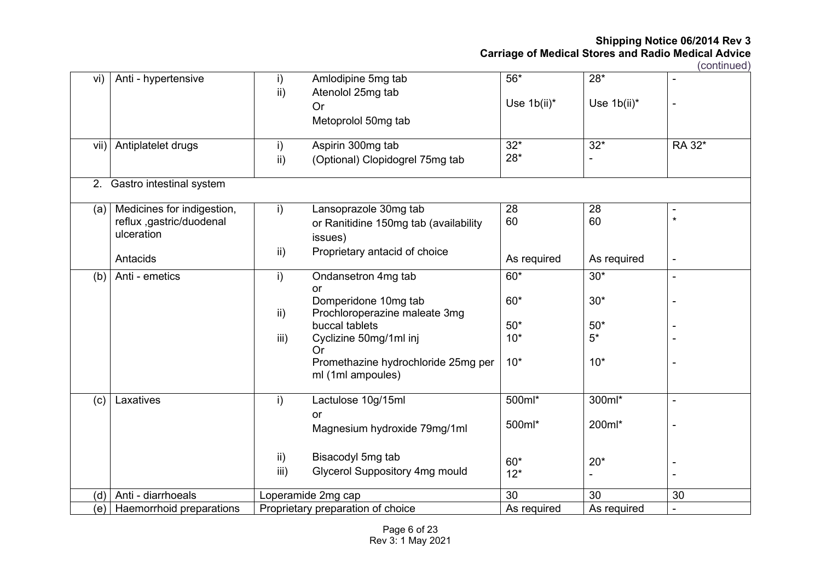| vi)  | Anti - hypertensive                                                  | $\mathsf{i}$<br>ii)           | Amlodipine 5mg tab<br>Atenolol 25mg tab<br><b>Or</b><br>Metoprolol 50mg tab     | $56*$<br>Use 1b(ii)* | $28*$<br>Use $1b(ii)^*$ | $\blacksquare$            |
|------|----------------------------------------------------------------------|-------------------------------|---------------------------------------------------------------------------------|----------------------|-------------------------|---------------------------|
| vii) | Antiplatelet drugs                                                   | $\mathsf{i}$<br>$\mathsf{ii}$ | Aspirin 300mg tab<br>(Optional) Clopidogrel 75mg tab                            | $32*$<br>$28*$       | $32*$                   | RA 32*                    |
| 2.   | Gastro intestinal system                                             |                               |                                                                                 |                      |                         |                           |
| (a)  | Medicines for indigestion,<br>reflux ,gastric/duodenal<br>ulceration | i)                            | Lansoprazole 30mg tab<br>or Ranitidine 150mg tab (availability<br>issues)       | 28<br>60             | 28<br>60                | $\blacksquare$<br>$\star$ |
|      | Antacids                                                             | ii)                           | Proprietary antacid of choice                                                   | As required          | As required             | $\overline{\phantom{a}}$  |
| (b)  | Anti - emetics                                                       | $\mathsf{i}$                  | Ondansetron 4mg tab<br>or<br>Domperidone 10mg tab                               | $60*$<br>$60*$       | $30*$<br>$30*$          | $\blacksquare$            |
|      |                                                                      | ii)<br>iii)                   | Prochloroperazine maleate 3mg<br>buccal tablets<br>Cyclizine 50mg/1ml inj<br>Or | $50*$<br>$10*$       | $50*$<br>$5^*$          |                           |
|      |                                                                      |                               | Promethazine hydrochloride 25mg per<br>ml (1ml ampoules)                        | $10*$                | $10*$                   |                           |
| (c)  | Laxatives                                                            | i)                            | Lactulose 10g/15ml<br><b>or</b><br>Magnesium hydroxide 79mg/1ml                 | 500ml*<br>500ml*     | 300ml*<br>200ml*        | $\ddot{\phantom{a}}$      |
|      |                                                                      | ii)<br>iii)                   | Bisacodyl 5mg tab<br>Glycerol Suppository 4mg mould                             | $60*$<br>$12*$       | $20*$                   |                           |
| (d)  | Anti - diarrhoeals                                                   |                               | Loperamide 2mg cap                                                              | 30                   | 30                      | 30                        |
|      | (e) Haemorrhoid preparations                                         |                               | Proprietary preparation of choice                                               | As required          | As required             | $\blacksquare$            |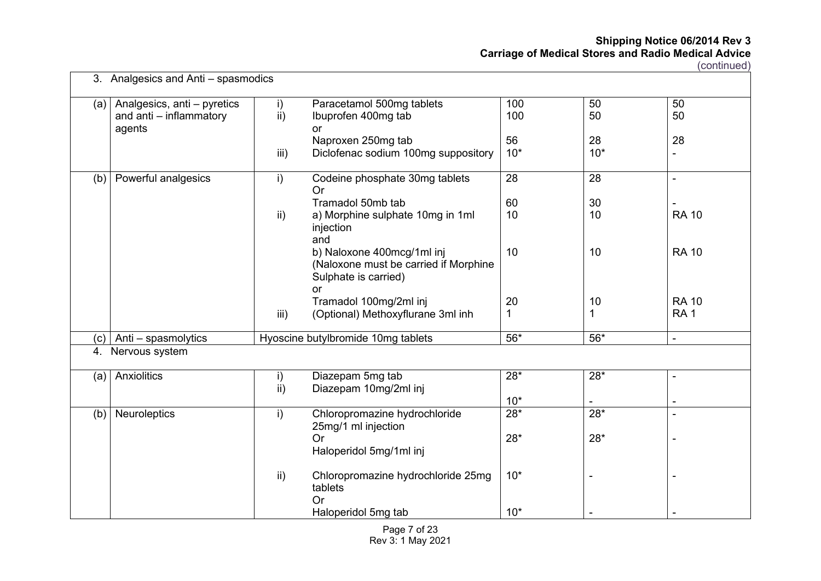(continued)

|     | 3. Analgesics and Anti – spasmodics                              |                                 |                                                                                                   |                  |                |                          |
|-----|------------------------------------------------------------------|---------------------------------|---------------------------------------------------------------------------------------------------|------------------|----------------|--------------------------|
| (a) | Analgesics, anti - pyretics<br>and anti - inflammatory<br>agents | $\mathsf{i}$<br>$\overline{ii}$ | Paracetamol 500mg tablets<br>Ibuprofen 400mg tab<br>or<br>Naproxen 250mg tab                      | 100<br>100<br>56 | 50<br>50<br>28 | 50<br>50<br>28           |
|     |                                                                  | iii)                            | Diclofenac sodium 100mg suppository                                                               | $10*$            | $10*$          | -                        |
| (b) | Powerful analgesics                                              | i)                              | Codeine phosphate 30mg tablets<br>Or                                                              | 28               | 28             | $\blacksquare$           |
|     |                                                                  |                                 | Tramadol 50mb tab                                                                                 | 60               | 30             | $\blacksquare$           |
|     |                                                                  | $\mathsf{ii}$                   | a) Morphine sulphate 10mg in 1ml<br>injection<br>and                                              | 10               | 10             | <b>RA 10</b>             |
|     |                                                                  |                                 | b) Naloxone 400mcg/1ml inj<br>(Naloxone must be carried if Morphine<br>Sulphate is carried)<br>or | 10               | 10             | <b>RA 10</b>             |
|     |                                                                  |                                 | Tramadol 100mg/2ml inj                                                                            | 20               | 10             | <b>RA 10</b>             |
|     |                                                                  | iii)                            | (Optional) Methoxyflurane 3ml inh                                                                 | 1                | 1              | RA <sub>1</sub>          |
| (c) | Anti - spasmolytics                                              |                                 | Hyoscine butylbromide 10mg tablets                                                                | $56*$            | $56*$          | $\blacksquare$           |
| 4.  | Nervous system                                                   |                                 |                                                                                                   |                  |                |                          |
| (a) | Anxiolitics                                                      | $\mathsf{i}$<br>ii)             | Diazepam 5mg tab<br>Diazepam 10mg/2ml inj                                                         | $28*$            | $28*$          | $\blacksquare$           |
|     |                                                                  |                                 |                                                                                                   | $10*$            |                | $\overline{\phantom{a}}$ |
| (b) | Neuroleptics                                                     | i)                              | Chloropromazine hydrochloride<br>25mg/1 ml injection                                              | $28*$            | $28*$          | $\blacksquare$           |
|     |                                                                  |                                 | Or<br>Haloperidol 5mg/1ml inj                                                                     | $28*$            | $28*$          |                          |
|     |                                                                  | ii)                             | Chloropromazine hydrochloride 25mg<br>tablets<br>Or                                               | $10*$            |                |                          |
|     |                                                                  |                                 | Haloperidol 5mg tab                                                                               | $10*$            |                |                          |

Page 7 of 23 Rev 3: 1 May 2021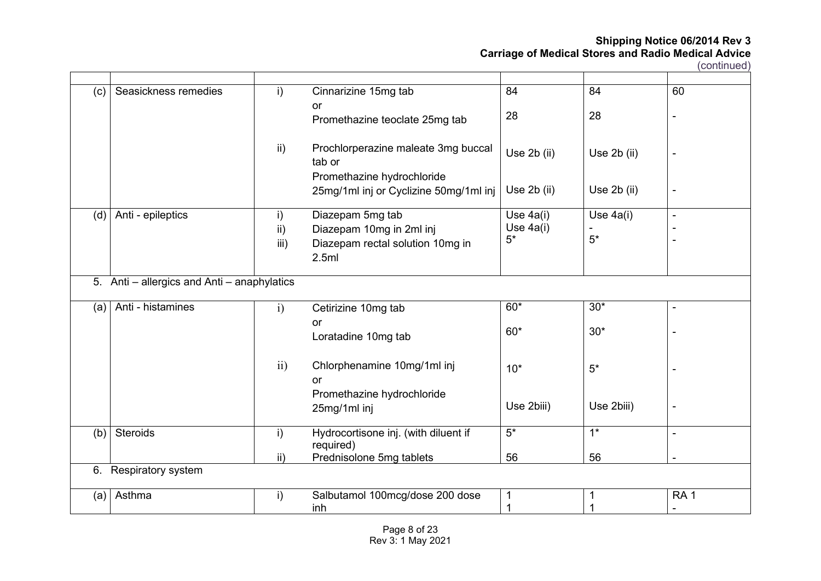| (c) | Seasickness remedies                     | i)              | Cinnarizine 15mg tab<br>or                                                  | 84          | 84               | 60                       |
|-----|------------------------------------------|-----------------|-----------------------------------------------------------------------------|-------------|------------------|--------------------------|
|     |                                          |                 | Promethazine teoclate 25mg tab                                              | 28          | 28               | $\overline{\phantom{a}}$ |
|     |                                          | $\mathsf{ii}$   | Prochlorperazine maleate 3mg buccal<br>tab or<br>Promethazine hydrochloride | Use 2b (ii) | Use 2b (ii)      | ۰                        |
|     |                                          |                 | 25mg/1ml inj or Cyclizine 50mg/1ml inj                                      | Use 2b (ii) | Use 2b (ii)      | ۰                        |
| (d) | Anti - epileptics                        | i)              | Diazepam 5mg tab                                                            | Use 4a(i)   | Use 4a(i)        | $\blacksquare$           |
|     |                                          | $\mathsf{ii}$ ) | Diazepam 10mg in 2ml inj                                                    | Use 4a(i)   |                  |                          |
|     |                                          | iii)            | Diazepam rectal solution 10mg in                                            | $5*$        | $5*$             |                          |
|     |                                          |                 | 2.5ml                                                                       |             |                  |                          |
| 5.  | Anti - allergics and Anti - anaphylatics |                 |                                                                             |             |                  |                          |
| (a) | Anti - histamines                        | $\mathbf{i}$    | Cetirizine 10mg tab                                                         | $60*$       | $30*$            | $\blacksquare$           |
|     |                                          |                 | or                                                                          |             |                  |                          |
|     |                                          |                 | Loratadine 10mg tab                                                         | $60*$       | $30*$            |                          |
|     |                                          | ii)             | Chlorphenamine 10mg/1ml inj<br><b>or</b>                                    | $10*$       | $5*$             |                          |
|     |                                          |                 | Promethazine hydrochloride                                                  |             |                  |                          |
|     |                                          |                 | 25mg/1ml inj                                                                | Use 2biii)  | Use 2biii)       | ۰                        |
| (b) | Steroids                                 | i)              | Hydrocortisone inj. (with diluent if<br>required)                           | $5*$        | $\overline{1^*}$ | $\blacksquare$           |
|     |                                          | $\mathsf{ii}$   | Prednisolone 5mg tablets                                                    | 56          | 56               | $\blacksquare$           |
|     | 6. Respiratory system                    |                 |                                                                             |             |                  |                          |
| (a) | Asthma                                   | $\mathsf{i}$    | Salbutamol 100mcg/dose 200 dose                                             | 1           |                  | RA <sub>1</sub>          |
|     |                                          |                 | inh                                                                         | 1           |                  |                          |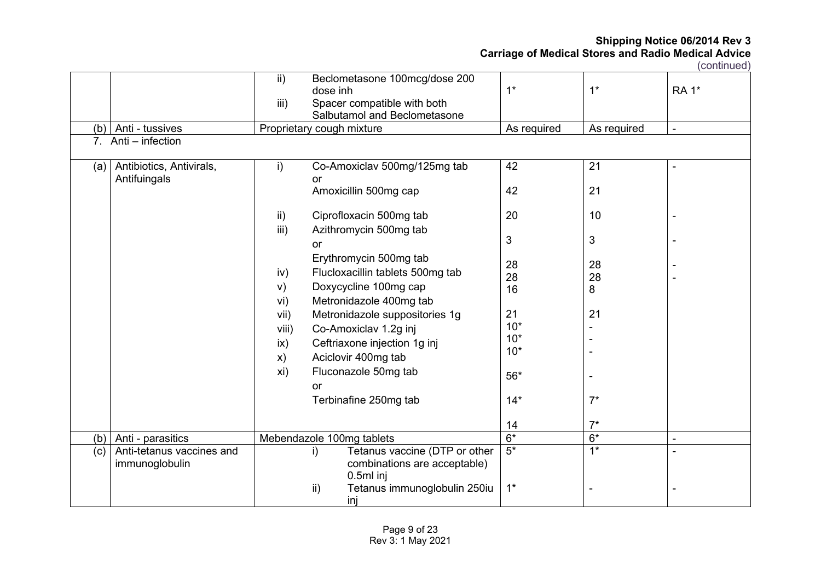| (b)<br>$7_{\scriptscriptstyle{\sim}}$ | Anti - tussives<br>Anti - infection                              | $\mathsf{ii}$<br>iii)                                                                          | Beclometasone 100mcg/dose 200<br>dose inh<br>Spacer compatible with both<br>Salbutamol and Beclometasone<br>Proprietary cough mixture                                                                                                                                                                                                                                                                                    | $1^*$<br>As required                                                                     | $1*$<br>As required                                                   | <b>RA 1*</b><br>$\blacksquare$ |
|---------------------------------------|------------------------------------------------------------------|------------------------------------------------------------------------------------------------|--------------------------------------------------------------------------------------------------------------------------------------------------------------------------------------------------------------------------------------------------------------------------------------------------------------------------------------------------------------------------------------------------------------------------|------------------------------------------------------------------------------------------|-----------------------------------------------------------------------|--------------------------------|
| (a)                                   | Antibiotics, Antivirals,<br>Antifuingals                         | i)<br>$\mathsf{ii}$<br>iii)<br>iv)<br>V)<br>vi)<br>vii)<br>viii)<br>$\mathsf{ix}$<br>x)<br>xi) | Co-Amoxiclav 500mg/125mg tab<br>or<br>Amoxicillin 500mg cap<br>Ciprofloxacin 500mg tab<br>Azithromycin 500mg tab<br><b>or</b><br>Erythromycin 500mg tab<br>Flucloxacillin tablets 500mg tab<br>Doxycycline 100mg cap<br>Metronidazole 400mg tab<br>Metronidazole suppositories 1g<br>Co-Amoxiclav 1.2g inj<br>Ceftriaxone injection 1g inj<br>Aciclovir 400mg tab<br>Fluconazole 50mg tab<br>or<br>Terbinafine 250mg tab | 42<br>42<br>20<br>3<br>28<br>28<br>16<br>21<br>$10*$<br>$10*$<br>$10*$<br>$56*$<br>$14*$ | 21<br>21<br>10<br>3<br>28<br>28<br>8<br>21<br>$\blacksquare$<br>$7^*$ | $\blacksquare$                 |
|                                       |                                                                  |                                                                                                | Mebendazole 100mg tablets                                                                                                                                                                                                                                                                                                                                                                                                | 14<br>$6*$                                                                               | $7^*$<br>$6*$                                                         | $\blacksquare$                 |
| (b)<br>(c)                            | Anti - parasitics<br>Anti-tetanus vaccines and<br>immunoglobulin |                                                                                                | Tetanus vaccine (DTP or other<br>i)<br>combinations are acceptable)<br>$0.5ml$ inj<br>$\mathsf{ii}$<br>Tetanus immunoglobulin 250iu<br>inj                                                                                                                                                                                                                                                                               | $5*$<br>$1^*$                                                                            | $\overline{1^*}$                                                      |                                |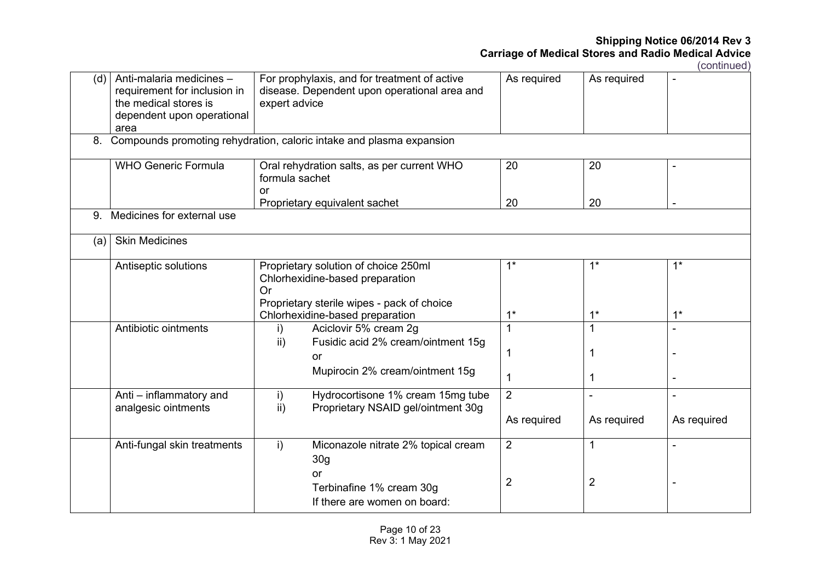| As required                |
|----------------------------|
|                            |
|                            |
|                            |
|                            |
|                            |
|                            |
| $1*$                       |
| $1^*$                      |
|                            |
|                            |
|                            |
|                            |
| As required<br>As required |
|                            |
|                            |
|                            |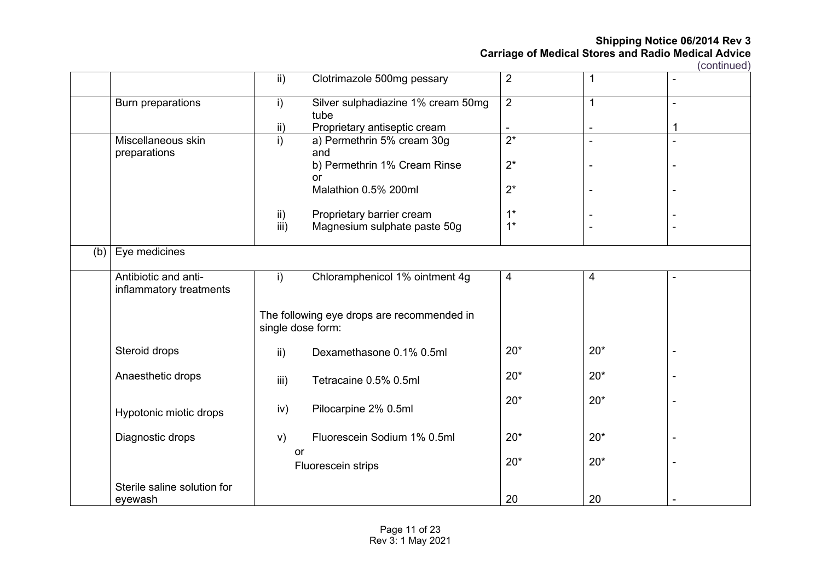|     |                             | $\mathsf{ii}$     | Clotrimazole 500mg pessary                 | $\overline{2}$ | $\mathbf{1}$   | $\blacksquare$ |
|-----|-----------------------------|-------------------|--------------------------------------------|----------------|----------------|----------------|
|     | Burn preparations           | i)                | Silver sulphadiazine 1% cream 50mg<br>tube | $\overline{2}$ | $\mathbf{1}$   |                |
|     |                             | ii)               | Proprietary antiseptic cream               |                |                | 1              |
|     | Miscellaneous skin          | i)                | a) Permethrin 5% cream 30g                 | $2^*$          | $\blacksquare$ |                |
|     | preparations                |                   | and                                        |                |                |                |
|     |                             |                   | b) Permethrin 1% Cream Rinse               | $2^*$          | Ē,             |                |
|     |                             |                   | or                                         |                |                |                |
|     |                             |                   | Malathion 0.5% 200ml                       | $2^*$          |                |                |
|     |                             | $\mathsf{ii}$     | Proprietary barrier cream                  | $1^*$          |                |                |
|     |                             | $\overline{iii}$  | Magnesium sulphate paste 50g               | $1^*$          |                |                |
|     |                             |                   |                                            |                |                |                |
| (b) | Eye medicines               |                   |                                            |                |                |                |
|     | Antibiotic and anti-        | i)                | Chloramphenicol 1% ointment 4g             | 4              | $\overline{4}$ | $\blacksquare$ |
|     | inflammatory treatments     |                   |                                            |                |                |                |
|     |                             |                   |                                            |                |                |                |
|     |                             |                   | The following eye drops are recommended in |                |                |                |
|     |                             | single dose form: |                                            |                |                |                |
|     | Steroid drops               | $\mathsf{ii}$ )   | Dexamethasone 0.1% 0.5ml                   | $20*$          | $20*$          |                |
|     |                             |                   |                                            |                |                |                |
|     | Anaesthetic drops           | iii)              | Tetracaine 0.5% 0.5ml                      | $20*$          | $20*$          |                |
|     |                             |                   |                                            |                |                |                |
|     |                             | iv)               | Pilocarpine 2% 0.5ml                       | $20*$          | $20*$          |                |
|     | Hypotonic miotic drops      |                   |                                            |                |                |                |
|     | Diagnostic drops            | V)                | Fluorescein Sodium 1% 0.5ml                | $20*$          | $20*$          |                |
|     |                             | or                |                                            |                |                |                |
|     |                             |                   | Fluorescein strips                         | $20*$          | $20*$          |                |
|     |                             |                   |                                            |                |                |                |
|     | Sterile saline solution for |                   |                                            |                |                |                |
|     | eyewash                     |                   |                                            | 20             | 20             |                |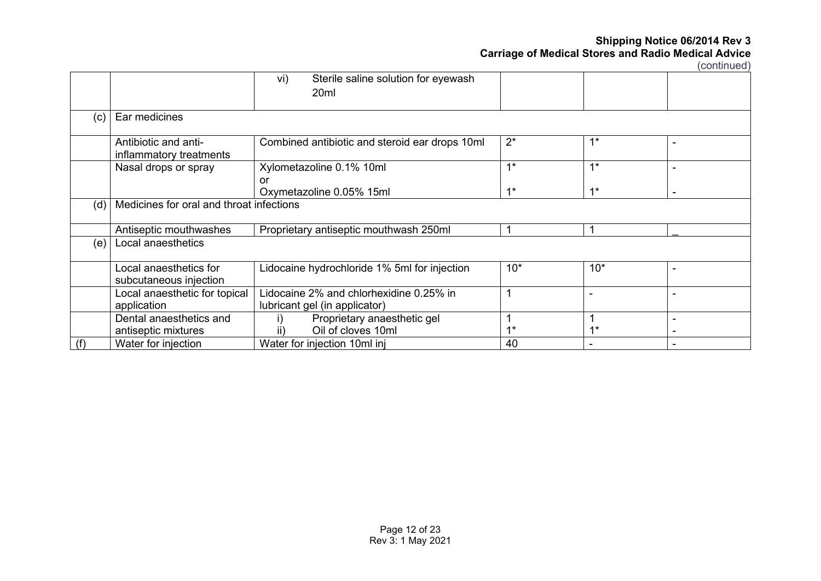|     |                                                  | Sterile saline solution for eyewash<br>vi)<br>20 <sub>ml</sub> |       |       |                          |  |  |
|-----|--------------------------------------------------|----------------------------------------------------------------|-------|-------|--------------------------|--|--|
| (c) | Ear medicines                                    |                                                                |       |       |                          |  |  |
|     | Antibiotic and anti-<br>inflammatory treatments  | Combined antibiotic and steroid ear drops 10ml                 | $2^*$ | $1*$  |                          |  |  |
|     | Nasal drops or spray                             | Xylometazoline 0.1% 10ml<br>or                                 | $1^*$ | $1*$  | $\blacksquare$           |  |  |
|     |                                                  | Oxymetazoline 0.05% 15ml                                       | $1*$  | $1*$  |                          |  |  |
| (d  | Medicines for oral and throat infections         |                                                                |       |       |                          |  |  |
|     | Antiseptic mouthwashes                           | Proprietary antiseptic mouthwash 250ml                         |       |       |                          |  |  |
| (e) | Local anaesthetics                               |                                                                |       |       |                          |  |  |
|     | Local anaesthetics for<br>subcutaneous injection | Lidocaine hydrochloride 1% 5ml for injection                   | $10*$ | $10*$ | $\blacksquare$           |  |  |
|     | Local anaesthetic for topical                    | idocaine 2% and chlorhexidine 0.25% in                         |       |       |                          |  |  |
|     | application                                      | lubricant gel (in applicator)                                  |       |       |                          |  |  |
|     | Dental anaesthetics and                          | Proprietary anaesthetic gel                                    |       |       | $\overline{\phantom{0}}$ |  |  |
|     | antiseptic mixtures                              | Oil of cloves 10ml                                             | $4*$  | $4*$  |                          |  |  |
| (f) | Water for injection                              | Water for injection 10ml inj                                   | 40    |       |                          |  |  |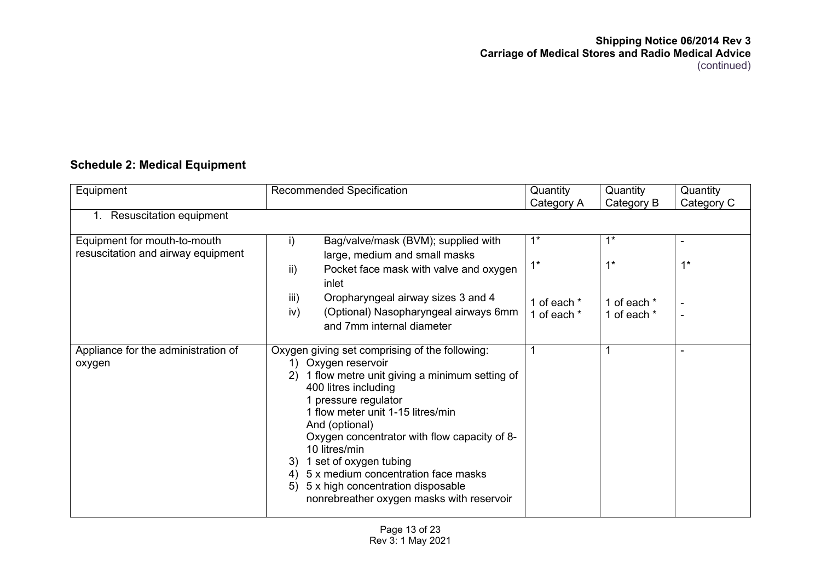# **Schedule 2: Medical Equipment**

| Equipment                                                          | Recommended Specification                                                                                                                                                                                                                                                                                                                                                                                                                                                    | Quantity<br>Category A                       | Quantity<br>Category B                       | Quantity<br>Category C  |
|--------------------------------------------------------------------|------------------------------------------------------------------------------------------------------------------------------------------------------------------------------------------------------------------------------------------------------------------------------------------------------------------------------------------------------------------------------------------------------------------------------------------------------------------------------|----------------------------------------------|----------------------------------------------|-------------------------|
| <b>Resuscitation equipment</b><br>1.                               |                                                                                                                                                                                                                                                                                                                                                                                                                                                                              |                                              |                                              |                         |
| Equipment for mouth-to-mouth<br>resuscitation and airway equipment | Bag/valve/mask (BVM); supplied with<br>i)<br>large, medium and small masks<br>Pocket face mask with valve and oxygen<br>ii)<br>inlet<br>Oropharyngeal airway sizes 3 and 4<br>iii)<br>iv)<br>(Optional) Nasopharyngeal airways 6mm<br>and 7mm internal diameter                                                                                                                                                                                                              | $1^*$<br>$1^*$<br>1 of each *<br>1 of each * | $1^*$<br>$1^*$<br>1 of each *<br>1 of each * | $1^*$<br>$\blacksquare$ |
| Appliance for the administration of<br>oxygen                      | Oxygen giving set comprising of the following:<br>Oxygen reservoir<br>1)<br>1 flow metre unit giving a minimum setting of<br>2)<br>400 litres including<br>1 pressure regulator<br>1 flow meter unit 1-15 litres/min<br>And (optional)<br>Oxygen concentrator with flow capacity of 8-<br>10 litres/min<br>1 set of oxygen tubing<br>3)<br>5 x medium concentration face masks<br>4)<br>5 x high concentration disposable<br>5)<br>nonrebreather oxygen masks with reservoir | 1                                            |                                              |                         |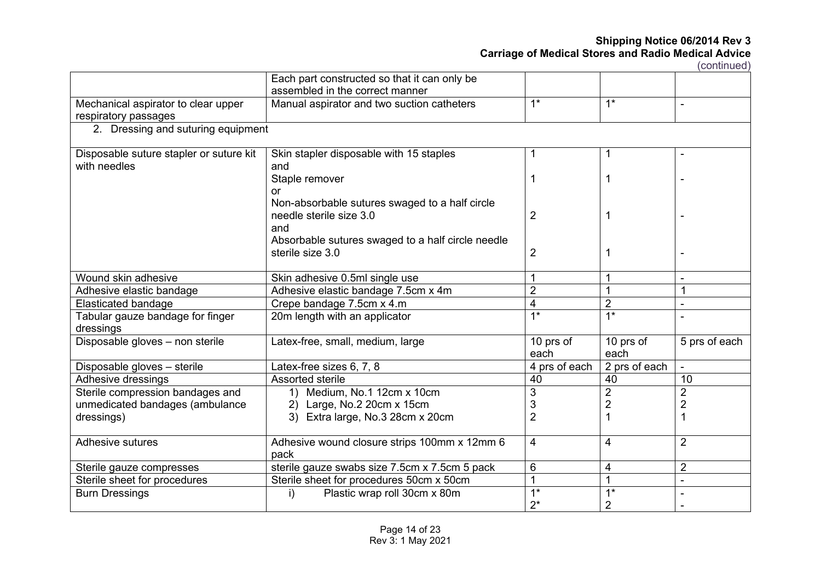|                                                             | Each part constructed so that it can only be<br>assembled in the correct manner  |                   |                   |                |
|-------------------------------------------------------------|----------------------------------------------------------------------------------|-------------------|-------------------|----------------|
| Mechanical aspirator to clear upper<br>respiratory passages | Manual aspirator and two suction catheters                                       | $1*$              | $1*$              |                |
| 2. Dressing and suturing equipment                          |                                                                                  |                   |                   |                |
| Disposable suture stapler or suture kit<br>with needles     | Skin stapler disposable with 15 staples<br>and                                   | 1                 |                   | $\blacksquare$ |
|                                                             | Staple remover<br>or                                                             | 1                 |                   |                |
|                                                             | Non-absorbable sutures swaged to a half circle<br>needle sterile size 3.0<br>and | 2                 | 1                 |                |
|                                                             | Absorbable sutures swaged to a half circle needle<br>sterile size 3.0            | $\overline{2}$    | 1                 |                |
| Wound skin adhesive                                         | Skin adhesive 0.5ml single use                                                   | 1                 |                   |                |
| Adhesive elastic bandage                                    | Adhesive elastic bandage 7.5cm x 4m                                              | $\overline{2}$    |                   | 1              |
| <b>Elasticated bandage</b>                                  | Crepe bandage 7.5cm x 4.m                                                        | 4                 | $\overline{2}$    | $\blacksquare$ |
| Tabular gauze bandage for finger<br>dressings               | 20m length with an applicator                                                    | $\overline{1^*}$  | $\overline{1^*}$  |                |
| Disposable gloves - non sterile                             | Latex-free, small, medium, large                                                 | 10 prs of<br>each | 10 prs of<br>each | 5 prs of each  |
| Disposable gloves - sterile                                 | Latex-free sizes 6, 7, 8                                                         | 4 prs of each     | 2 prs of each     | $\blacksquare$ |
| Adhesive dressings                                          | Assorted sterile                                                                 | 40                | 40                | 10             |
| Sterile compression bandages and                            | 1) Medium, No.1 12cm x 10cm                                                      | 3                 | $\overline{2}$    | $\overline{2}$ |
| unmedicated bandages (ambulance                             | 2) Large, No.2 20cm x 15cm                                                       | 3                 | $\overline{2}$    | $\overline{2}$ |
| dressings)                                                  | 3) Extra large, No.3 28cm x 20cm                                                 | $\overline{2}$    |                   | 1              |
| <b>Adhesive sutures</b>                                     | Adhesive wound closure strips 100mm x 12mm 6<br>pack                             | 4                 | 4                 | $\overline{2}$ |
| Sterile gauze compresses                                    | sterile gauze swabs size 7.5cm x 7.5cm 5 pack                                    | 6                 | 4                 | $\overline{2}$ |
| Sterile sheet for procedures                                | Sterile sheet for procedures 50cm x 50cm                                         | 1                 | 1                 | $\blacksquare$ |
| <b>Burn Dressings</b>                                       | $\mathsf{i}$<br>Plastic wrap roll 30cm x 80m                                     | $1^*$             | $1*$              |                |
|                                                             |                                                                                  | $2^*$             | $\overline{2}$    |                |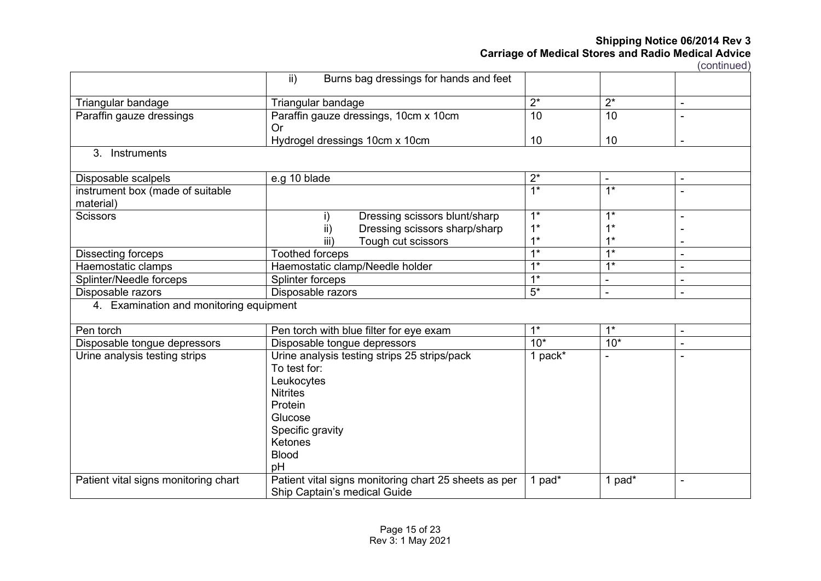|                                               | ii)<br>Burns bag dressings for hands and feet                                                                                                                                   |                  |                  |                          |
|-----------------------------------------------|---------------------------------------------------------------------------------------------------------------------------------------------------------------------------------|------------------|------------------|--------------------------|
| Triangular bandage                            | Triangular bandage                                                                                                                                                              | $2^*$            | $2^*$            | $\blacksquare$           |
| Paraffin gauze dressings                      | Paraffin gauze dressings, 10cm x 10cm<br>Or                                                                                                                                     | 10               | 10               |                          |
|                                               | Hydrogel dressings 10cm x 10cm                                                                                                                                                  | 10               | 10               | $\blacksquare$           |
| Instruments<br>$3_{-}$                        |                                                                                                                                                                                 |                  |                  |                          |
| Disposable scalpels                           | e.g 10 blade                                                                                                                                                                    | $2^*$            | $\blacksquare$   | $\blacksquare$           |
| instrument box (made of suitable<br>material) |                                                                                                                                                                                 | $1*$             | $1*$             |                          |
| <b>Scissors</b>                               | Dressing scissors blunt/sharp<br>i)                                                                                                                                             | $1^*$            | $1^*$            |                          |
|                                               | ii)<br>Dressing scissors sharp/sharp                                                                                                                                            | $1*$             | $1^*$            |                          |
|                                               | iii)<br>Tough cut scissors                                                                                                                                                      | $1^*$            | $1^*$            |                          |
| Dissecting forceps                            | <b>Toothed forceps</b>                                                                                                                                                          | $\overline{1^*}$ | $\overline{1^*}$ | $\blacksquare$           |
| Haemostatic clamps                            | Haemostatic clamp/Needle holder                                                                                                                                                 | $\overline{1^*}$ | $\overline{1^*}$ | $\overline{\phantom{a}}$ |
| Splinter/Needle forceps                       | Splinter forceps                                                                                                                                                                | $1*$             | L.               | $\blacksquare$           |
| Disposable razors                             | Disposable razors                                                                                                                                                               | $5*$             |                  |                          |
| 4. Examination and monitoring equipment       |                                                                                                                                                                                 |                  |                  |                          |
| Pen torch                                     | Pen torch with blue filter for eye exam                                                                                                                                         | $1^*$            | $1^*$            | $\blacksquare$           |
| Disposable tongue depressors                  | Disposable tongue depressors                                                                                                                                                    | $10*$            | $10*$            | $\ddot{\phantom{a}}$     |
| Urine analysis testing strips                 | Urine analysis testing strips 25 strips/pack<br>To test for:<br>Leukocytes<br><b>Nitrites</b><br>Protein<br>Glucose<br>Specific gravity<br><b>Ketones</b><br><b>Blood</b><br>pH | 1 pack*          |                  |                          |
| Patient vital signs monitoring chart          | Patient vital signs monitoring chart 25 sheets as per<br>Ship Captain's medical Guide                                                                                           | 1 pad*           | 1 pad*           | $\blacksquare$           |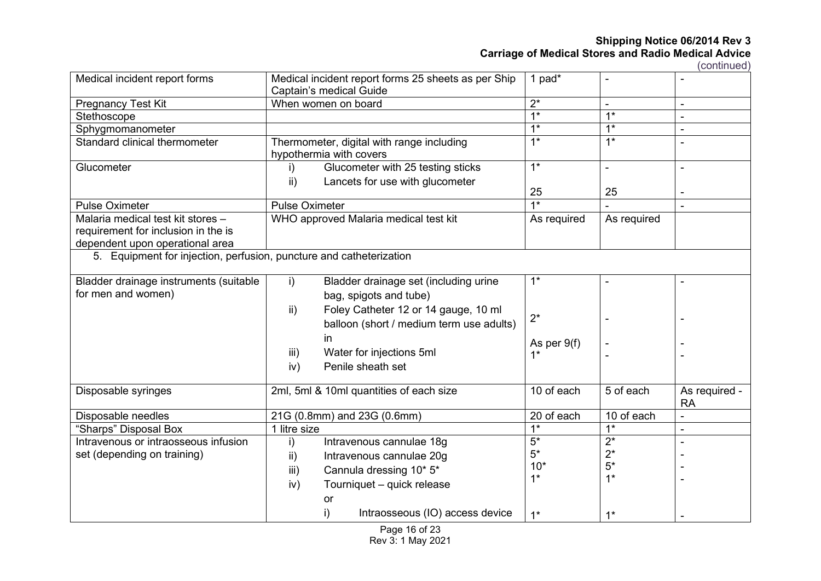(continued)

| Medical incident report forms                                       |                       | Medical incident report forms 25 sheets as per Ship<br>Captain's medical Guide | 1 pad*           |                  |                |
|---------------------------------------------------------------------|-----------------------|--------------------------------------------------------------------------------|------------------|------------------|----------------|
| Pregnancy Test Kit                                                  |                       | When women on board                                                            | $2^*$            |                  |                |
| Stethoscope                                                         |                       |                                                                                | $1*$             | $\overline{1^*}$ |                |
| Sphygmomanometer                                                    |                       |                                                                                | $1*$             | $1*$             | $\overline{a}$ |
| Standard clinical thermometer                                       |                       | Thermometer, digital with range including<br>hypothermia with covers           | $1*$             | $1*$             |                |
| Glucometer                                                          | i)                    | Glucometer with 25 testing sticks                                              | $\overline{1^*}$ |                  |                |
|                                                                     | $\mathsf{ii}$ )       | Lancets for use with glucometer                                                |                  |                  |                |
|                                                                     |                       |                                                                                | 25               | 25               |                |
| <b>Pulse Oximeter</b>                                               | <b>Pulse Oximeter</b> |                                                                                | $\overline{1^*}$ |                  |                |
| Malaria medical test kit stores -                                   |                       | WHO approved Malaria medical test kit                                          | As required      | As required      |                |
| requirement for inclusion in the is                                 |                       |                                                                                |                  |                  |                |
| dependent upon operational area                                     |                       |                                                                                |                  |                  |                |
| 5. Equipment for injection, perfusion, puncture and catheterization |                       |                                                                                |                  |                  |                |
| Bladder drainage instruments (suitable                              | i)                    | Bladder drainage set (including urine                                          | $1^*$            |                  |                |
| for men and women)                                                  |                       | bag, spigots and tube)                                                         |                  |                  |                |
|                                                                     | $\mathsf{ii}$         | Foley Catheter 12 or 14 gauge, 10 ml                                           |                  |                  |                |
|                                                                     |                       | balloon (short / medium term use adults)                                       | $2^*$            |                  |                |
|                                                                     |                       | in.                                                                            |                  |                  |                |
|                                                                     |                       |                                                                                | As per 9(f)      |                  |                |
|                                                                     | iii)                  | Water for injections 5ml                                                       | $1^*$            |                  |                |
|                                                                     | iv)                   | Penile sheath set                                                              |                  |                  |                |
| Disposable syringes                                                 |                       | 2ml, 5ml & 10ml quantities of each size                                        | 10 of each       | 5 of each        | As required -  |
|                                                                     |                       |                                                                                |                  |                  | <b>RA</b>      |
| Disposable needles                                                  |                       | 21G (0.8mm) and 23G (0.6mm)                                                    | 20 of each       | 10 of each       |                |
| "Sharps" Disposal Box                                               | 1 litre size          |                                                                                | $\overline{1^*}$ | $\overline{1^*}$ |                |
| Intravenous or intraosseous infusion                                | i)                    | Intravenous cannulae 18g                                                       | $5*$             | $\overline{2^*}$ |                |
| set (depending on training)                                         | ii)                   | Intravenous cannulae 20g                                                       | $5*$             | $2^*$            |                |
|                                                                     | iii)                  | Cannula dressing 10* 5*                                                        | $10*$            | $5*$             |                |
|                                                                     | iv)                   | Tourniquet - quick release                                                     | $1^*$            | $1^*$            |                |
|                                                                     |                       | or                                                                             |                  |                  |                |
|                                                                     |                       | i)<br>Intraosseous (IO) access device                                          |                  |                  |                |
|                                                                     |                       |                                                                                | $1*$             | $1*$             |                |

Page 16 of 23 Rev 3: 1 May 2021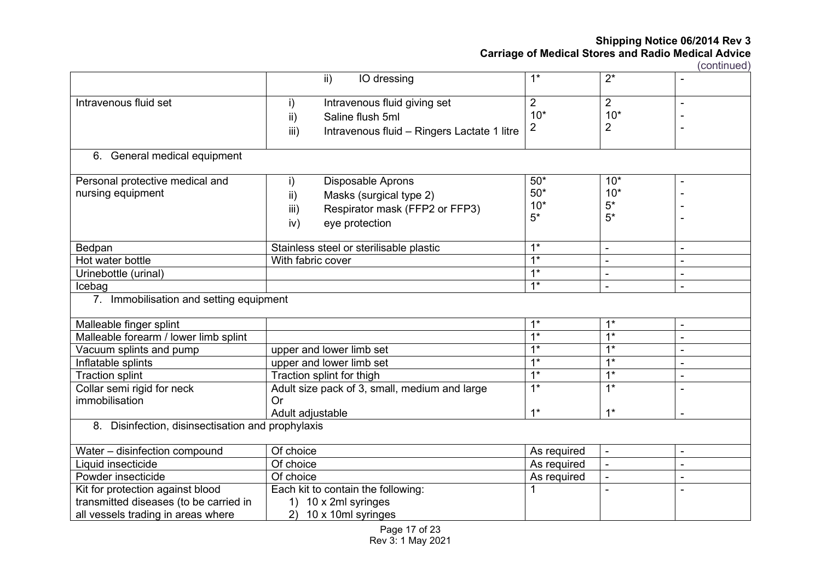|                                                   | ii)<br>IO dressing                                  | $1*$             | $\overline{2^*}$ |                |
|---------------------------------------------------|-----------------------------------------------------|------------------|------------------|----------------|
| Intravenous fluid set                             | Intravenous fluid giving set<br>i)                  | $\overline{2}$   | $\overline{2}$   |                |
|                                                   | ii)<br>Saline flush 5ml                             | $10*$            | $10*$            |                |
|                                                   | iii)<br>Intravenous fluid - Ringers Lactate 1 litre | $\overline{2}$   | 2                |                |
|                                                   |                                                     |                  |                  |                |
| 6. General medical equipment                      |                                                     |                  |                  |                |
| Personal protective medical and                   | <b>Disposable Aprons</b><br>i)                      | $50*$            | $10*$            | -              |
| nursing equipment                                 | Masks (surgical type 2)<br>ii)                      | $50*$            | $10*$            |                |
|                                                   | Respirator mask (FFP2 or FFP3)<br>iii)              | $10*$            | $5*$             |                |
|                                                   | eye protection<br>iv)                               | $5*$             | $5*$             |                |
|                                                   |                                                     |                  |                  |                |
| Bedpan                                            | Stainless steel or sterilisable plastic             | $1^*$            | ÷.               |                |
| Hot water bottle                                  | With fabric cover                                   | $\overline{1^*}$ |                  |                |
| Urinebottle (urinal)                              |                                                     | $\overline{1^*}$ |                  |                |
| Icebag                                            |                                                     | $\overline{1^*}$ |                  | $\blacksquare$ |
| 7. Immobilisation and setting equipment           |                                                     |                  |                  |                |
| Malleable finger splint                           |                                                     | $1^*$            | $1^*$            | ÷              |
| Malleable forearm / lower limb splint             |                                                     | $\overline{1^*}$ | $1^*$            |                |
| Vacuum splints and pump                           | upper and lower limb set                            | $1*$             | $1*$             | $\blacksquare$ |
| Inflatable splints                                | upper and lower limb set                            | $1*$             | $1^*$            | $\blacksquare$ |
| <b>Traction splint</b>                            | Traction splint for thigh                           | $1*$             | $\overline{1^*}$ |                |
| Collar semi rigid for neck                        | Adult size pack of 3, small, medium and large       | $\overline{1^*}$ | $1^*$            |                |
| immobilisation                                    | <b>Or</b>                                           |                  |                  |                |
|                                                   | Adult adjustable                                    | $1*$             | $1*$             |                |
| 8. Disinfection, disinsectisation and prophylaxis |                                                     |                  |                  |                |
| Water - disinfection compound                     | Of choice                                           | As required      |                  | $\blacksquare$ |
| Liquid insecticide                                | Of choice                                           | As required      |                  | $\blacksquare$ |
| Powder insecticide                                | Of choice                                           | As required      | ÷.               | $\blacksquare$ |
| Kit for protection against blood                  | Each kit to contain the following:                  |                  |                  | ä,             |
| transmitted diseases (to be carried in            | 1) 10 x 2ml syringes                                |                  |                  |                |
| all vessels trading in areas where                | 10 x 10ml syringes<br>2)                            |                  |                  |                |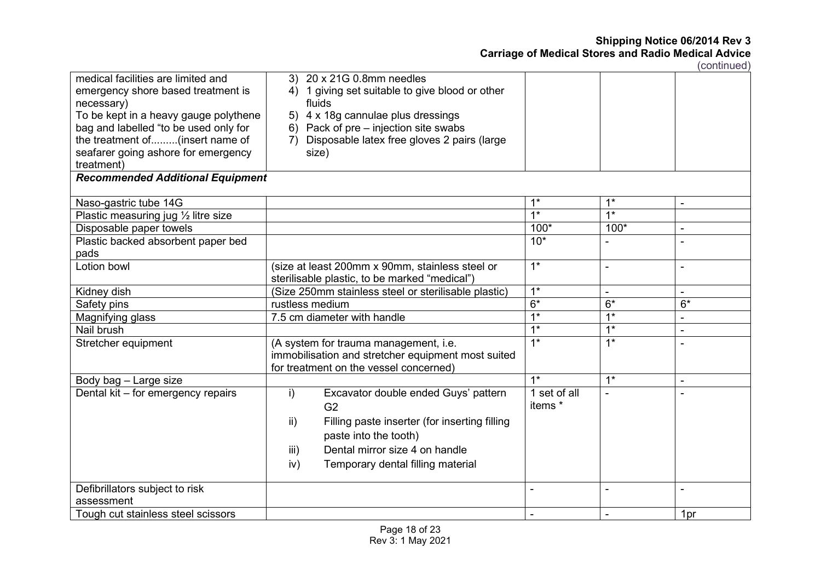| medical facilities are limited and<br>emergency shore based treatment is<br>necessary)<br>To be kept in a heavy gauge polythene<br>bag and labelled "to be used only for | 3) 20 x 21G 0.8mm needles<br>1 giving set suitable to give blood or other<br>4)<br>fluids<br>5) 4 x 18g cannulae plus dressings<br>Pack of pre – injection site swabs<br>6) |                         |                  |                |
|--------------------------------------------------------------------------------------------------------------------------------------------------------------------------|-----------------------------------------------------------------------------------------------------------------------------------------------------------------------------|-------------------------|------------------|----------------|
| the treatment of(insert name of                                                                                                                                          | Disposable latex free gloves 2 pairs (large<br>7)                                                                                                                           |                         |                  |                |
| seafarer going ashore for emergency                                                                                                                                      | size)                                                                                                                                                                       |                         |                  |                |
| treatment)                                                                                                                                                               |                                                                                                                                                                             |                         |                  |                |
| <b>Recommended Additional Equipment</b>                                                                                                                                  |                                                                                                                                                                             |                         |                  |                |
|                                                                                                                                                                          |                                                                                                                                                                             |                         |                  |                |
| Naso-gastric tube 14G                                                                                                                                                    |                                                                                                                                                                             | $1^*$                   | $1^*$            |                |
| Plastic measuring jug $\frac{1}{2}$ litre size                                                                                                                           |                                                                                                                                                                             | $\overline{1^*}$        | $\overline{1^*}$ |                |
| Disposable paper towels                                                                                                                                                  |                                                                                                                                                                             | $100*$                  | $100*$           | $\blacksquare$ |
| Plastic backed absorbent paper bed                                                                                                                                       |                                                                                                                                                                             | $10*$                   |                  |                |
| pads                                                                                                                                                                     |                                                                                                                                                                             |                         |                  |                |
| Lotion bowl                                                                                                                                                              | (size at least 200mm x 90mm, stainless steel or                                                                                                                             | $1^*$                   | ÷.               |                |
|                                                                                                                                                                          | sterilisable plastic, to be marked "medical")                                                                                                                               |                         |                  |                |
| Kidney dish                                                                                                                                                              | (Size 250mm stainless steel or sterilisable plastic)                                                                                                                        | $1^*$                   |                  | $\blacksquare$ |
| Safety pins                                                                                                                                                              | rustless medium                                                                                                                                                             | $6*$                    | $6*$             | $6*$           |
| Magnifying glass                                                                                                                                                         | 7.5 cm diameter with handle                                                                                                                                                 | $\overline{1^*}$        | $1*$             |                |
| Nail brush                                                                                                                                                               |                                                                                                                                                                             | $1*$                    | $\overline{1^*}$ |                |
| Stretcher equipment                                                                                                                                                      | (A system for trauma management, i.e.<br>immobilisation and stretcher equipment most suited<br>for treatment on the vessel concerned)                                       | $1*$                    | $\overline{1^*}$ |                |
| Body bag - Large size                                                                                                                                                    |                                                                                                                                                                             | $1*$                    | $1^*$            |                |
| Dental kit - for emergency repairs                                                                                                                                       | i)<br>Excavator double ended Guys' pattern<br>G <sub>2</sub><br>$\mathsf{ii}$ )<br>Filling paste inserter (for inserting filling                                            | 1 set of all<br>items * |                  |                |
|                                                                                                                                                                          | paste into the tooth)                                                                                                                                                       |                         |                  |                |
|                                                                                                                                                                          | Dental mirror size 4 on handle<br>iii)                                                                                                                                      |                         |                  |                |
|                                                                                                                                                                          | Temporary dental filling material<br>iv)                                                                                                                                    |                         |                  |                |
|                                                                                                                                                                          |                                                                                                                                                                             |                         |                  |                |
| Defibrillators subject to risk                                                                                                                                           |                                                                                                                                                                             | ÷.                      | $\blacksquare$   | ۰              |
| assessment                                                                                                                                                               |                                                                                                                                                                             |                         |                  |                |
| Tough cut stainless steel scissors                                                                                                                                       |                                                                                                                                                                             |                         |                  | 1pr            |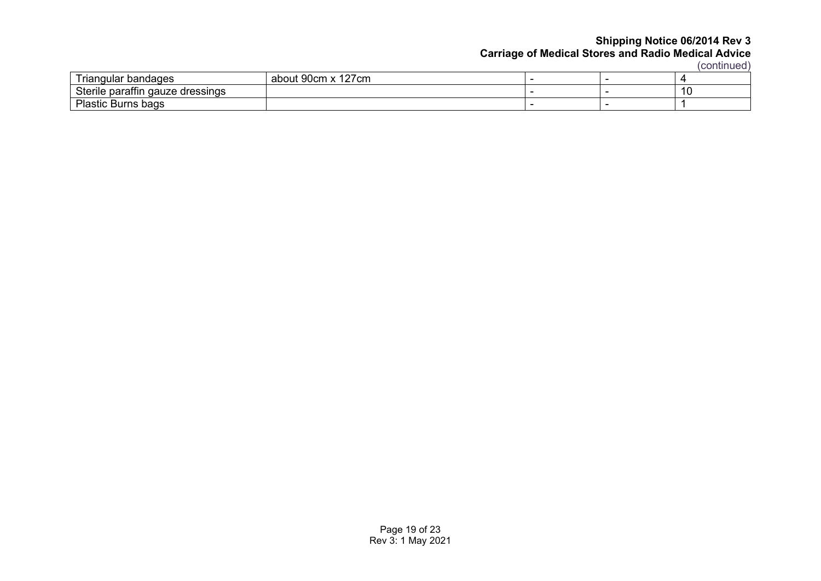|                                                  |                                               |  | 1 001 141 140 4 |
|--------------------------------------------------|-----------------------------------------------|--|-----------------|
| $\overline{\phantom{a}}$<br>l riangular bandages | $\sqrt{2}$<br>$00cm$ v<br>l27cm<br>about 90cm |  |                 |
| <b>Sterile</b><br>paraffin gauze dressings {     |                                               |  | 10              |
| Plastic<br>c Burns bags                          |                                               |  |                 |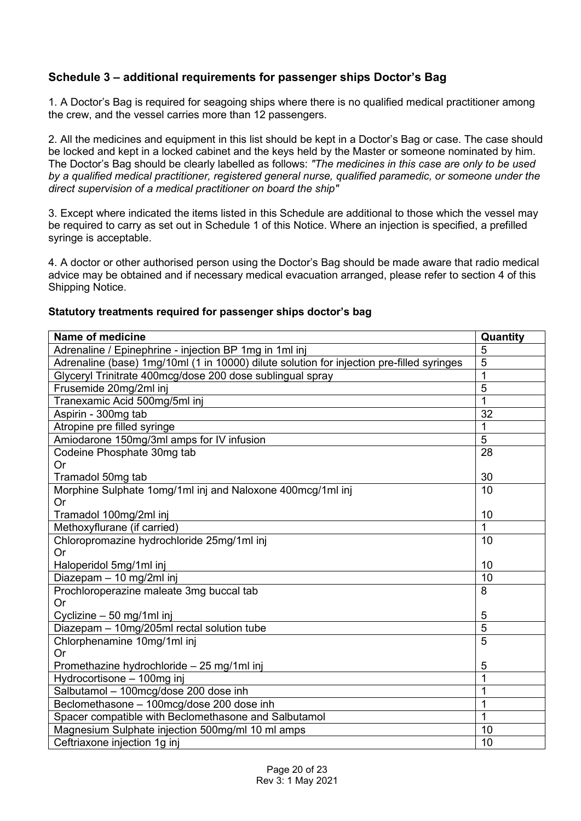# **Schedule 3 – additional requirements for passenger ships Doctor's Bag**

1. A Doctor's Bag is required for seagoing ships where there is no qualified medical practitioner among the crew, and the vessel carries more than 12 passengers.

2. All the medicines and equipment in this list should be kept in a Doctor's Bag or case. The case should be locked and kept in a locked cabinet and the keys held by the Master or someone nominated by him. The Doctor's Bag should be clearly labelled as follows: *"The medicines in this case are only to be used by a qualified medical practitioner, registered general nurse, qualified paramedic, or someone under the direct supervision of a medical practitioner on board the ship"*

3. Except where indicated the items listed in this Schedule are additional to those which the vessel may be required to carry as set out in Schedule 1 of this Notice. Where an injection is specified, a prefilled syringe is acceptable.

4. A doctor or other authorised person using the Doctor's Bag should be made aware that radio medical advice may be obtained and if necessary medical evacuation arranged, please refer to section 4 of this Shipping Notice.

### **Statutory treatments required for passenger ships doctor's bag**

| Name of medicine                                                                          | Quantity                         |
|-------------------------------------------------------------------------------------------|----------------------------------|
| Adrenaline / Epinephrine - injection BP 1mg in 1ml inj                                    | 5                                |
| Adrenaline (base) 1mg/10ml (1 in 10000) dilute solution for injection pre-filled syringes | 5                                |
| Glyceryl Trinitrate 400mcg/dose 200 dose sublingual spray                                 | $\mathbf{1}$                     |
| Frusemide 20mg/2ml inj                                                                    | $\overline{5}$                   |
| Tranexamic Acid 500mg/5ml inj                                                             | 1                                |
| Aspirin - 300mg tab                                                                       | 32                               |
| Atropine pre filled syringe                                                               | 1                                |
| Amiodarone 150mg/3ml amps for IV infusion                                                 | 5                                |
| Codeine Phosphate 30mg tab                                                                | 28                               |
| <b>Or</b>                                                                                 |                                  |
| Tramadol 50mg tab                                                                         | 30                               |
| Morphine Sulphate 1omg/1ml inj and Naloxone 400mcg/1ml inj                                | 10                               |
| Or                                                                                        |                                  |
| Tramadol 100mg/2ml inj                                                                    | 10<br>1                          |
| Methoxyflurane (if carried)                                                               |                                  |
| Chloropromazine hydrochloride 25mg/1ml inj                                                | 10                               |
| <b>Or</b>                                                                                 |                                  |
| Haloperidol 5mg/1ml inj                                                                   | 10                               |
| Diazepam - 10 mg/2ml inj                                                                  | 10                               |
| Prochloroperazine maleate 3mg buccal tab                                                  | 8                                |
| <b>Or</b>                                                                                 |                                  |
| Cyclizine - 50 mg/1ml inj                                                                 | 5                                |
| Diazepam - 10mg/205ml rectal solution tube                                                | $\overline{5}$<br>$\overline{5}$ |
| Chlorphenamine 10mg/1ml inj                                                               |                                  |
| <b>Or</b>                                                                                 |                                  |
| Promethazine hydrochloride - 25 mg/1ml inj                                                | 5                                |
| Hydrocortisone - 100mg inj                                                                | 1                                |
| Salbutamol - 100mcg/dose 200 dose inh                                                     | 1                                |
| Beclomethasone - 100mcg/dose 200 dose inh                                                 | 1                                |
| Spacer compatible with Beclomethasone and Salbutamol                                      | 1                                |
| Magnesium Sulphate injection 500mg/ml 10 ml amps                                          | 10                               |
| Ceftriaxone injection 1g inj                                                              | 10                               |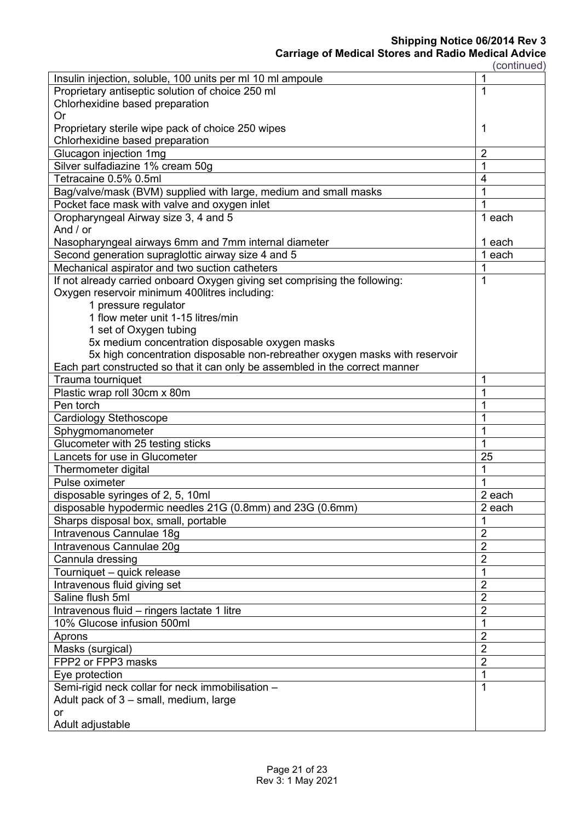**Shipping Notice 06/2014 Rev 3**

| (continued) |  |
|-------------|--|

| Insulin injection, soluble, 100 units per ml 10 ml ampoule                   | 1              |  |
|------------------------------------------------------------------------------|----------------|--|
| Proprietary antiseptic solution of choice 250 ml                             | 1              |  |
| Chlorhexidine based preparation                                              |                |  |
| Or                                                                           |                |  |
| Proprietary sterile wipe pack of choice 250 wipes                            | 1              |  |
| Chlorhexidine based preparation                                              |                |  |
| Glucagon injection 1mg                                                       | $\overline{2}$ |  |
| Silver sulfadiazine 1% cream 50g                                             | 1              |  |
| Tetracaine 0.5% 0.5ml                                                        | 4              |  |
| Bag/valve/mask (BVM) supplied with large, medium and small masks             | 1              |  |
| Pocket face mask with valve and oxygen inlet                                 |                |  |
| Oropharyngeal Airway size 3, 4 and 5                                         | 1 each         |  |
| And / or                                                                     |                |  |
| Nasopharyngeal airways 6mm and 7mm internal diameter                         | 1 each         |  |
| Second generation supraglottic airway size 4 and 5                           | 1 each         |  |
| Mechanical aspirator and two suction catheters                               | 1              |  |
| If not already carried onboard Oxygen giving set comprising the following:   | 1              |  |
| Oxygen reservoir minimum 400litres including:                                |                |  |
| 1 pressure regulator                                                         |                |  |
| 1 flow meter unit 1-15 litres/min                                            |                |  |
| 1 set of Oxygen tubing                                                       |                |  |
| 5x medium concentration disposable oxygen masks                              |                |  |
| 5x high concentration disposable non-rebreather oxygen masks with reservoir  |                |  |
| Each part constructed so that it can only be assembled in the correct manner |                |  |
| Trauma tourniquet                                                            | 1              |  |
| Plastic wrap roll 30cm x 80m                                                 | 1              |  |
| Pen torch                                                                    |                |  |
| Cardiology Stethoscope                                                       |                |  |
| Sphygmomanometer                                                             |                |  |
| Glucometer with 25 testing sticks                                            | 1              |  |
| Lancets for use in Glucometer                                                | 25             |  |
| Thermometer digital                                                          | 1              |  |
| Pulse oximeter                                                               |                |  |
| disposable syringes of 2, 5, 10ml                                            | 2 each         |  |
| disposable hypodermic needles 21G (0.8mm) and 23G (0.6mm)                    | 2 each         |  |
| Sharps disposal box, small, portable                                         |                |  |
| Intravenous Cannulae 18g                                                     | $\overline{2}$ |  |
| Intravenous Cannulae 20q                                                     | $\overline{2}$ |  |
| Cannula dressing                                                             | $\overline{2}$ |  |
| Tourniquet - quick release                                                   | 1              |  |
| Intravenous fluid giving set                                                 | $\overline{2}$ |  |
| Saline flush 5ml                                                             | $\overline{2}$ |  |
| Intravenous fluid - ringers lactate 1 litre                                  |                |  |
| 10% Glucose infusion 500ml                                                   |                |  |
| Aprons                                                                       | $\overline{2}$ |  |
| Masks (surgical)                                                             | $\overline{2}$ |  |
| FPP2 or FPP3 masks                                                           | $\overline{2}$ |  |
| Eye protection                                                               |                |  |
| Semi-rigid neck collar for neck immobilisation -                             |                |  |
| Adult pack of 3 - small, medium, large                                       |                |  |
| <b>or</b>                                                                    |                |  |
| Adult adjustable                                                             |                |  |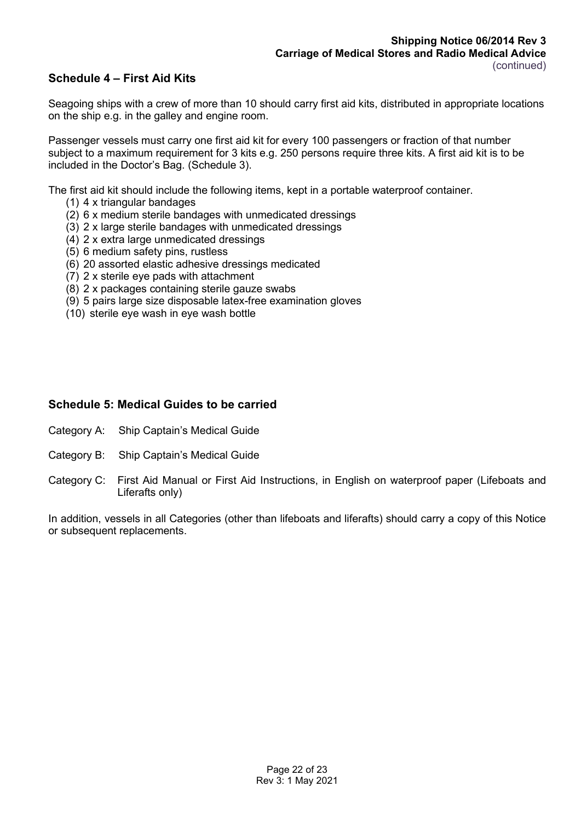# **Schedule 4 – First Aid Kits**

Seagoing ships with a crew of more than 10 should carry first aid kits, distributed in appropriate locations on the ship e.g. in the galley and engine room.

Passenger vessels must carry one first aid kit for every 100 passengers or fraction of that number subject to a maximum requirement for 3 kits e.g. 250 persons require three kits. A first aid kit is to be included in the Doctor's Bag. (Schedule 3).

The first aid kit should include the following items, kept in a portable waterproof container.

- (1) 4 x triangular bandages
- (2) 6 x medium sterile bandages with unmedicated dressings
- (3) 2 x large sterile bandages with unmedicated dressings
- (4) 2 x extra large unmedicated dressings
- (5) 6 medium safety pins, rustless
- (6) 20 assorted elastic adhesive dressings medicated
- (7) 2 x sterile eye pads with attachment
- (8) 2 x packages containing sterile gauze swabs
- (9) 5 pairs large size disposable latex-free examination gloves
- (10) sterile eye wash in eye wash bottle

#### **Schedule 5: Medical Guides to be carried**

- Category A: Ship Captain's Medical Guide
- Category B: Ship Captain's Medical Guide
- Category C: First Aid Manual or First Aid Instructions, in English on waterproof paper (Lifeboats and Liferafts only)

In addition, vessels in all Categories (other than lifeboats and liferafts) should carry a copy of this Notice or subsequent replacements.